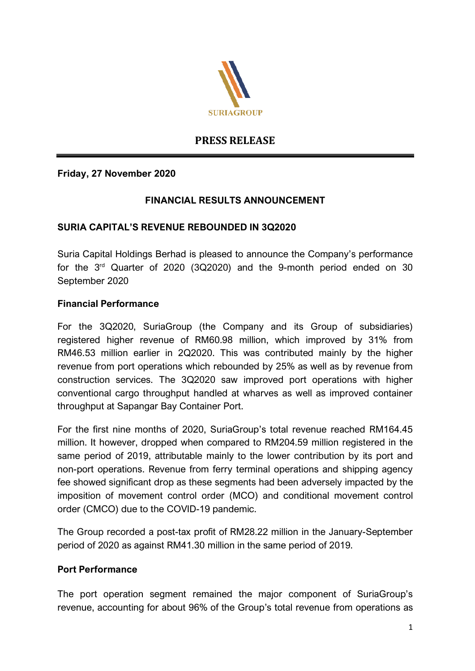

# **PRESS RELEASE**

# **Friday, 27 November 2020**

## **FINANCIAL RESULTS ANNOUNCEMENT**

#### **SURIA CAPITAL'S REVENUE REBOUNDED IN 3Q2020**

Suria Capital Holdings Berhad is pleased to announce the Company's performance for the 3rd Quarter of 2020 (3Q2020) and the 9-month period ended on 30 September 2020

## **Financial Performance**

For the 3Q2020, SuriaGroup (the Company and its Group of subsidiaries) registered higher revenue of RM60.98 million, which improved by 31% from RM46.53 million earlier in 2Q2020. This was contributed mainly by the higher revenue from port operations which rebounded by 25% as well as by revenue from construction services. The 3Q2020 saw improved port operations with higher conventional cargo throughput handled at wharves as well as improved container throughput at Sapangar Bay Container Port.

For the first nine months of 2020, SuriaGroup's total revenue reached RM164.45 million. It however, dropped when compared to RM204.59 million registered in the same period of 2019, attributable mainly to the lower contribution by its port and non-port operations. Revenue from ferry terminal operations and shipping agency fee showed significant drop as these segments had been adversely impacted by the imposition of movement control order (MCO) and conditional movement control order (CMCO) due to the COVID-19 pandemic.

The Group recorded a post-tax profit of RM28.22 million in the January-September period of 2020 as against RM41.30 million in the same period of 2019.

#### **Port Performance**

The port operation segment remained the major component of SuriaGroup's revenue, accounting for about 96% of the Group's total revenue from operations as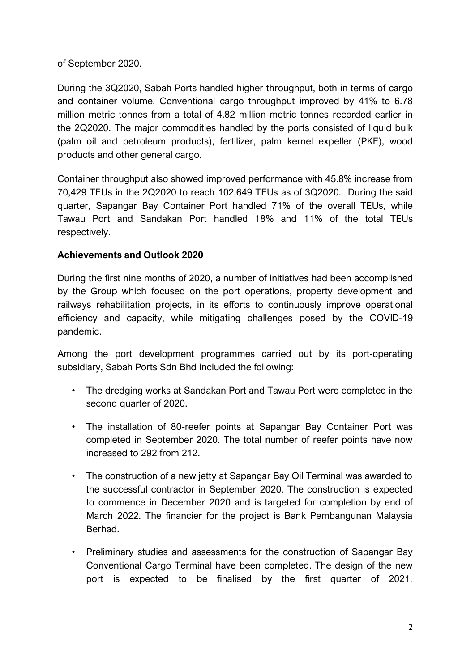of September 2020.

During the 3Q2020, Sabah Ports handled higher throughput, both in terms of cargo and container volume. Conventional cargo throughput improved by 41% to 6.78 million metric tonnes from a total of 4.82 million metric tonnes recorded earlier in the 2Q2020. The major commodities handled by the ports consisted of liquid bulk (palm oil and petroleum products), fertilizer, palm kernel expeller (PKE), wood products and other general cargo.

Container throughput also showed improved performance with 45.8% increase from 70,429 TEUs in the 2Q2020 to reach 102,649 TEUs as of 3Q2020. During the said quarter, Sapangar Bay Container Port handled 71% of the overall TEUs, while Tawau Port and Sandakan Port handled 18% and 11% of the total TEUs respectively.

# **Achievements and Outlook 2020**

During the first nine months of 2020, a number of initiatives had been accomplished by the Group which focused on the port operations, property development and railways rehabilitation projects, in its efforts to continuously improve operational efficiency and capacity, while mitigating challenges posed by the COVID-19 pandemic.

Among the port development programmes carried out by its port-operating subsidiary, Sabah Ports Sdn Bhd included the following:

- The dredging works at Sandakan Port and Tawau Port were completed in the second quarter of 2020.
- The installation of 80-reefer points at Sapangar Bay Container Port was completed in September 2020. The total number of reefer points have now increased to 292 from 212.
- The construction of a new jetty at Sapangar Bay Oil Terminal was awarded to the successful contractor in September 2020. The construction is expected to commence in December 2020 and is targeted for completion by end of March 2022. The financier for the project is Bank Pembangunan Malaysia Berhad.
- Preliminary studies and assessments for the construction of Sapangar Bay Conventional Cargo Terminal have been completed. The design of the new port is expected to be finalised by the first quarter of 2021.